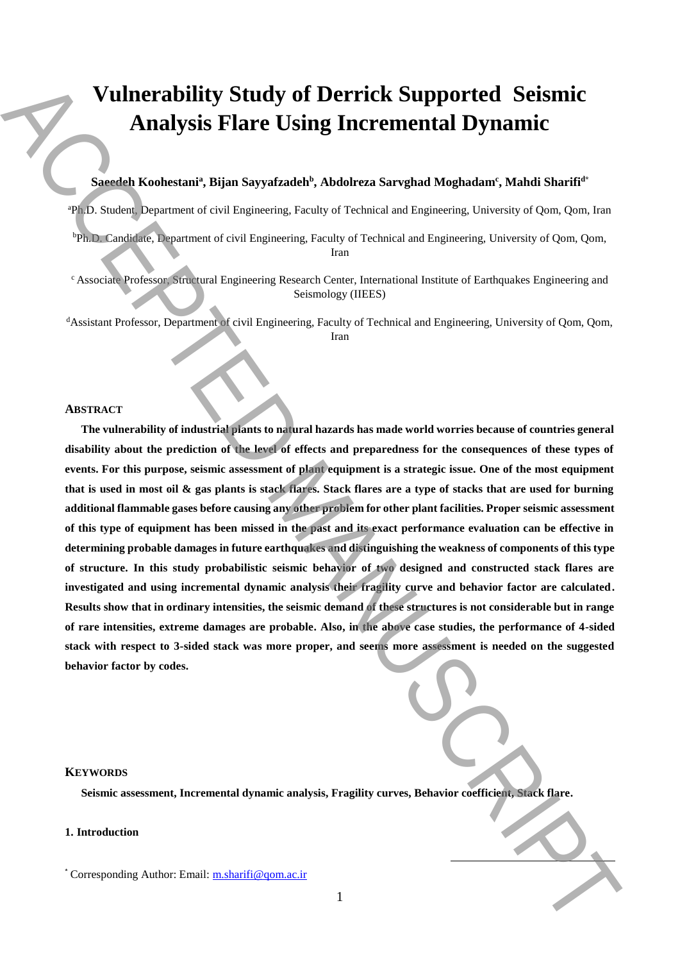# **Vulnerability Study of Derrick Supported Seismic Analysis Flare Using Incremental Dynamic**

# $\mathbf{Saeedeh}\ \mathbf{Koohestani}$ a, Bijan Sayyafzadeh $^{\mathrm{b}}$ , Abdolreza Sarvghad Moghadam<sup>c</sup>, Mahdi Sharifi<sup>d\*</sup>

<sup>a</sup>Ph.D. Student, Department of civil Engineering, Faculty of Technical and Engineering, University of Qom, Qom, Iran

<sup>b</sup>Ph.D. Candidate, Department of civil Engineering, Faculty of Technical and Engineering, University of Qom, Qom, Iran

<sup>c</sup> Associate Professor, Structural Engineering Research Center, International Institute of Earthquakes Engineering and Seismology (IIEES)

<sup>d</sup>Assistant Professor, Department of civil Engineering, Faculty of Technical and Engineering, University of Qom, Qom, Iran

# **ABSTRACT**

**The vulnerability of industrial plants to natural hazards has made world worries because of countries general disability about the prediction of the level of effects and preparedness for the consequences of these types of events. For this purpose, seismic assessment of plant equipment is a strategic issue. One of the most equipment that is used in most oil & gas plants is stack flares. Stack flares are a type of stacks that are used for burning additional flammable gases before causing any other problem for other plant facilities. Proper seismic assessment of this type of equipment has been missed in the past and its exact performance evaluation can be effective in determining probable damages in future earthquakes and distinguishing the weakness of components of this type of structure. In this study probabilistic seismic behavior of two designed and constructed stack flares are investigated and using incremental dynamic analysis their fragility curve and behavior factor are calculated. Results show that in ordinary intensities, the seismic demand of these structures is not considerable but in range of rare intensities, extreme damages are probable. Also, in the above case studies, the performance of 4-sided stack with respect to 3-sided stack was more proper, and seems more assessment is needed on the suggested behavior factor by codes. Example 2011**<br> **Standard Knokestinit'**, Bijan Supyarhadob', Abdoleran Sarrabad Maghadami, Mahdi Suuritti<br>
The Sarrabad Authorities The Supyarhadob', Abdoleran Sarrabad Maghadami, Mahdi Suuritti<br>
The Sarrabad Authorities

#### **KEYWORDS**

**Seismic assessment, Incremental dynamic analysis, Fragility curves, Behavior coefficient, Stack flare.**

# **1. Introduction**

 $\overline{a}$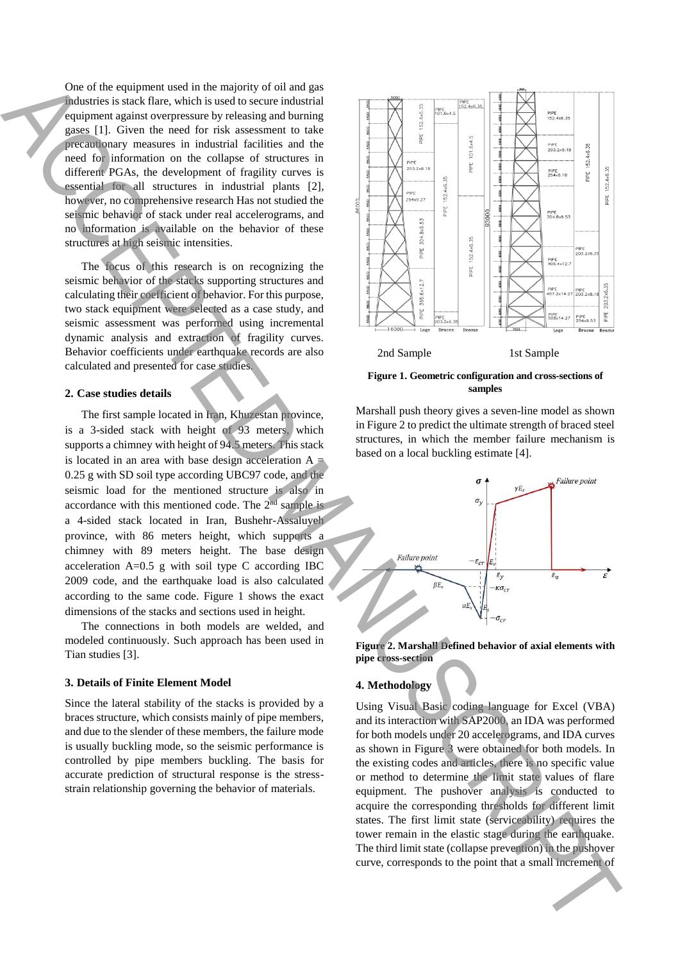One of the equipment used in the majority of oil and gas industries is stack flare, which is used to secure industrial equipment against overpressure by releasing and burning gases [1]. Given the need for risk assessment to take precautionary measures in industrial facilities and the need for information on the collapse of structures in different PGAs, the development of fragility curves is essential for all structures in industrial plants [2], however, no comprehensive research Has not studied the seismic behavior of stack under real accelerograms, and no information is available on the behavior of these structures at high seismic intensities.

The focus of this research is on recognizing the seismic behavior of the stacks supporting structures and calculating their coefficient of behavior. For this purpose, two stack equipment were selected as a case study, and seismic assessment was performed using incremental dynamic analysis and extraction of fragility curves. Behavior coefficients under earthquake records are also calculated and presented for case studies.

## **2. Case studies details**

The first sample located in Iran, Khuzestan province, is a 3-sided stack with height of 93 meters, which supports a chimney with height of 94.5 meters. This stack is located in an area with base design acceleration  $A$ 0.25 g with SD soil type according UBC97 code, and the seismic load for the mentioned structure is also in accordance with this mentioned code. The 2<sup>nd</sup> sample is a 4-sided stack located in Iran, Bushehr-Assaluyeh province, with 86 meters height, which supports a chimney with 89 meters height. The base design acceleration A=0.5 g with soil type C according IBC 2009 code, and the earthquake load is also calculated according to the same code. Figure 1 shows the exact dimensions of the stacks and sections used in height.

The connections in both models are welded, and modeled continuously. Such approach has been used in Tian studies [3].

#### **3. Details of Finite Element Model**

Since the lateral stability of the stacks is provided by a braces structure, which consists mainly of pipe members, and due to the slender of these members, the failure mode is usually buckling mode, so the seismic performance is controlled by pipe members buckling. The basis for accurate prediction of structural response is the stressstrain relationship governing the behavior of materials.



#### **Figure 1. Geometric configuration and cross-sections of samples**

Marshall push theory gives a seven-line model as shown in Figure 2 to predict the ultimate strength of braced steel structures, in which the member failure mechanism is based on a local buckling estimate [4].



**Figure 2. Marshall Defined behavior of axial elements with pipe cross-section**

## **4. Methodology**

Using Visual Basic coding language for Excel (VBA) and its interaction with SAP2000, an IDA was performed for both models under 20 accelerograms, and IDA curves as shown in Figure 3 were obtained for both models. In the existing codes and articles, there is no specific value or method to determine the limit state values of flare equipment. The pushover analysis is conducted to acquire the corresponding thresholds for different limit states. The first limit state (serviceability) requires the tower remain in the elastic stage during the earthquake. The third limit state (collapse prevention) in the pushover